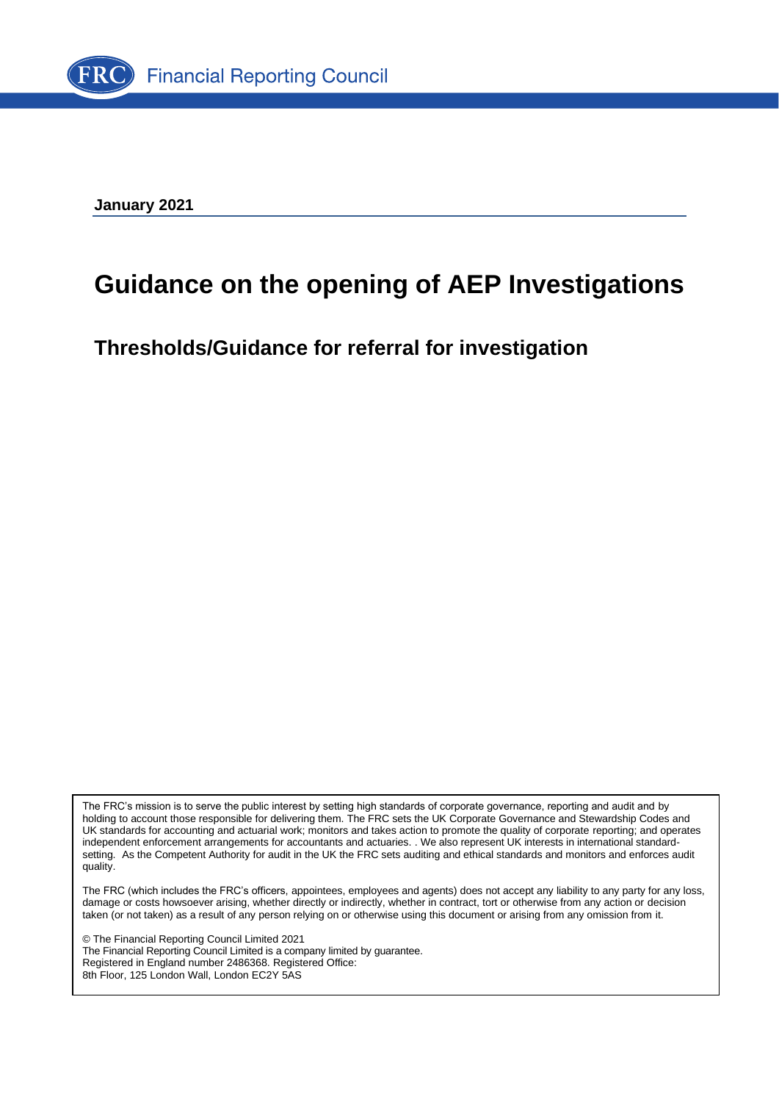

**January 2021**

# **Guidance on the opening of AEP Investigations**

**Thresholds/Guidance for referral for investigation**

The FRC's mission is to serve the public interest by setting high standards of corporate governance, reporting and audit and by holding to account those responsible for delivering them. The FRC sets the UK Corporate Governance and Stewardship Codes and UK standards for accounting and actuarial work; monitors and takes action to promote the quality of corporate reporting; and operates independent enforcement arrangements for accountants and actuaries. . We also represent UK interests in international standardsetting. As the Competent Authority for audit in the UK the FRC sets auditing and ethical standards and monitors and enforces audit quality.

The FRC (which includes the FRC's officers, appointees, employees and agents) does not accept any liability to any party for any loss, damage or costs howsoever arising, whether directly or indirectly, whether in contract, tort or otherwise from any action or decision taken (or not taken) as a result of any person relying on or otherwise using this document or arising from any omission from it.

© The Financial Reporting Council Limited 2021 The Financial Reporting Council Limited is a company limited by guarantee. Registered in England number 2486368. Registered Office: 8th Floor, 125 London Wall, London EC2Y 5AS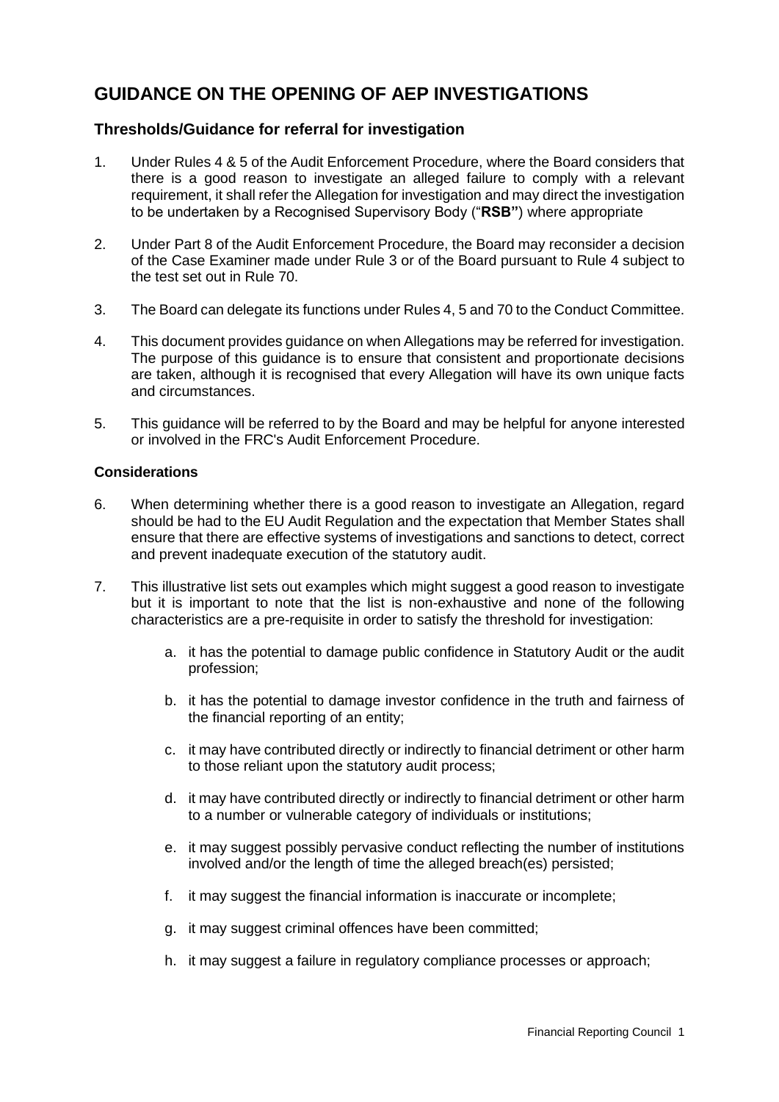# **GUIDANCE ON THE OPENING OF AEP INVESTIGATIONS**

## **Thresholds/Guidance for referral for investigation**

- 1. Under Rules 4 & 5 of the Audit Enforcement Procedure, where the Board considers that there is a good reason to investigate an alleged failure to comply with a relevant requirement, it shall refer the Allegation for investigation and may direct the investigation to be undertaken by a Recognised Supervisory Body ("**RSB"**) where appropriate
- 2. Under Part 8 of the Audit Enforcement Procedure, the Board may reconsider a decision of the Case Examiner made under Rule 3 or of the Board pursuant to Rule 4 subject to the test set out in Rule 70.
- 3. The Board can delegate its functions under Rules 4, 5 and 70 to the Conduct Committee.
- 4. This document provides guidance on when Allegations may be referred for investigation. The purpose of this guidance is to ensure that consistent and proportionate decisions are taken, although it is recognised that every Allegation will have its own unique facts and circumstances.
- 5. This guidance will be referred to by the Board and may be helpful for anyone interested or involved in the FRC's Audit Enforcement Procedure.

#### **Considerations**

- 6. When determining whether there is a good reason to investigate an Allegation, regard should be had to the EU Audit Regulation and the expectation that Member States shall ensure that there are effective systems of investigations and sanctions to detect, correct and prevent inadequate execution of the statutory audit.
- 7. This illustrative list sets out examples which might suggest a good reason to investigate but it is important to note that the list is non-exhaustive and none of the following characteristics are a pre-requisite in order to satisfy the threshold for investigation:
	- a. it has the potential to damage public confidence in Statutory Audit or the audit profession;
	- b. it has the potential to damage investor confidence in the truth and fairness of the financial reporting of an entity;
	- c. it may have contributed directly or indirectly to financial detriment or other harm to those reliant upon the statutory audit process;
	- d. it may have contributed directly or indirectly to financial detriment or other harm to a number or vulnerable category of individuals or institutions;
	- e. it may suggest possibly pervasive conduct reflecting the number of institutions involved and/or the length of time the alleged breach(es) persisted;
	- f. it may suggest the financial information is inaccurate or incomplete:
	- g. it may suggest criminal offences have been committed;
	- h. it may suggest a failure in regulatory compliance processes or approach;